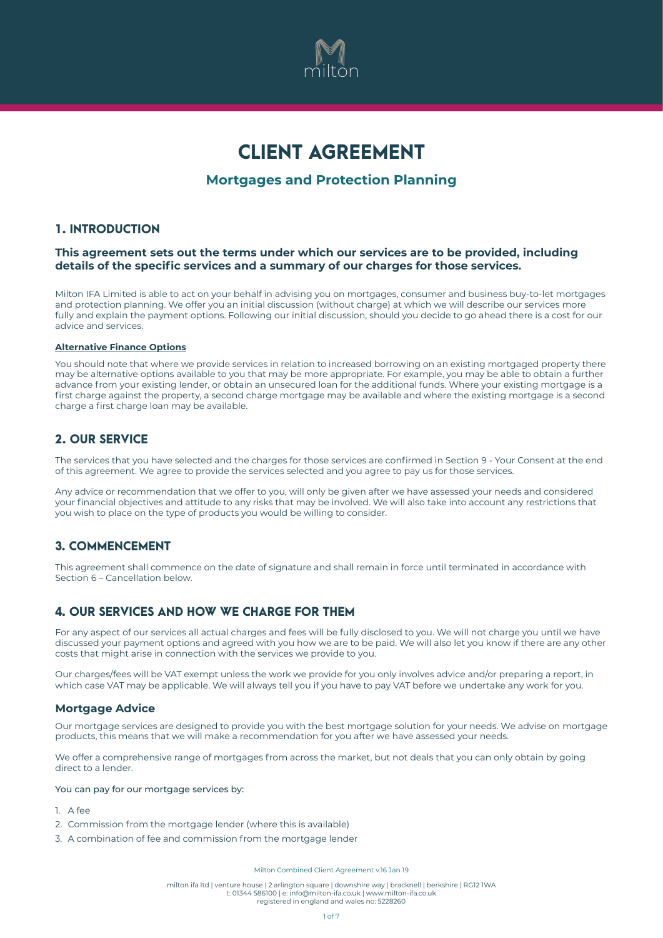

# CLIENT AGREEMENT

# **Mortgages and Protection Planning**

## 1. INTRODUCTION

### **This agreement sets out the terms under which our services are to be provided, including details of the specific services and a summary of our charges for those services.**

Milton IFA Limited is able to act on your behalf in advising you on mortgages, consumer and business buy-to-let mortgages and protection planning. We offer you an initial discussion (without charge) at which we will describe our services more fully and explain the payment options. Following our initial discussion, should you decide to go ahead there is a cost for our advice and services.

#### **Alternative Finance Options**

You should note that where we provide services in relation to increased borrowing on an existing mortgaged property there may be alternative options available to you that may be more appropriate. For example, you may be able to obtain a further advance from your existing lender, or obtain an unsecured loan for the additional funds. Where your existing mortgage is a first charge against the property, a second charge mortgage may be available and where the existing mortgage is a second charge a first charge loan may be available.

## 2. OUR SERVICE

The services that you have selected and the charges for those services are confirmed in Section 9 - Your Consent at the end of this agreement. We agree to provide the services selected and you agree to pay us for those services.

Any advice or recommendation that we offer to you, will only be given after we have assessed your needs and considered your financial objectives and attitude to any risks that may be involved. We will also take into account any restrictions that you wish to place on the type of products you would be willing to consider.

# 3. COMMENCEMENT

This agreement shall commence on the date of signature and shall remain in force until terminated in accordance with Section 6 – Cancellation below.

### 4. OUR SERVICES AND HOW WE CHARGE FOR THEM

For any aspect of our services all actual charges and fees will be fully disclosed to you. We will not charge you until we have discussed your payment options and agreed with you how we are to be paid. We will also let you know if there are any other costs that might arise in connection with the services we provide to you.

Our charges/fees will be VAT exempt unless the work we provide for you only involves advice and/or preparing a report, in which case VAT may be applicable. We will always tell you if you have to pay VAT before we undertake any work for you.

### **Mortgage Advice**

Our mortgage services are designed to provide you with the best mortgage solution for your needs. We advise on mortgage products, this means that we will make a recommendation for you after we have assessed your needs.

We offer a comprehensive range of mortgages from across the market, but not deals that you can only obtain by going direct to a lender.

You can pay for our mortgage services by:

- 1. A fee
- 2. Commission from the mortgage lender (where this is available)
- 3. A combination of fee and commission from the mortgage lender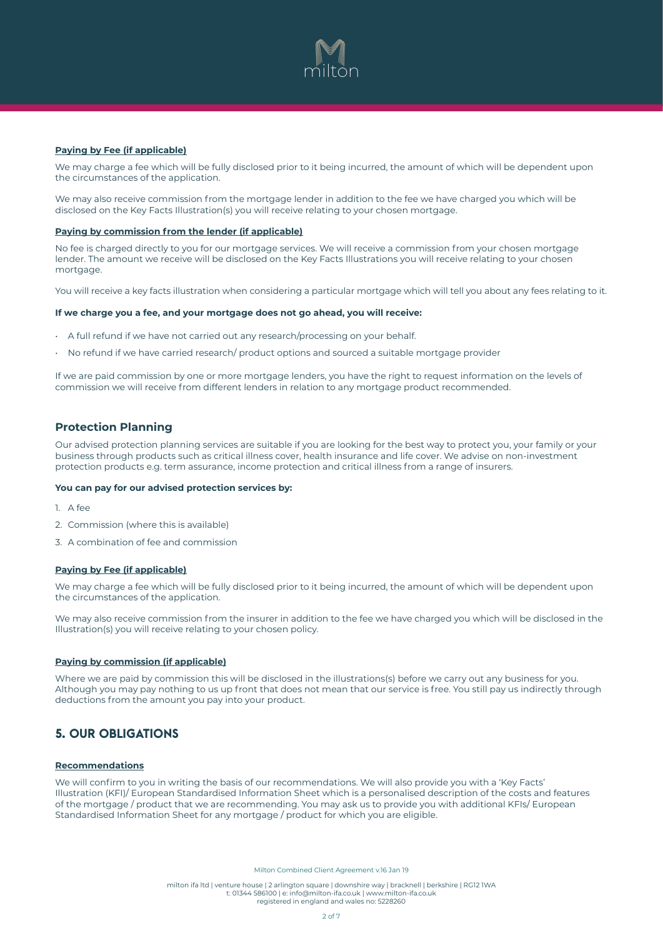

#### **Paying by Fee (if applicable)**

We may charge a fee which will be fully disclosed prior to it being incurred, the amount of which will be dependent upon the circumstances of the application.

We may also receive commission from the mortgage lender in addition to the fee we have charged you which will be disclosed on the Key Facts Illustration(s) you will receive relating to your chosen mortgage.

#### **Paying by commission from the lender (if applicable)**

No fee is charged directly to you for our mortgage services. We will receive a commission from your chosen mortgage lender. The amount we receive will be disclosed on the Key Facts Illustrations you will receive relating to your chosen mortgage.

You will receive a key facts illustration when considering a particular mortgage which will tell you about any fees relating to it.

#### **If we charge you a fee, and your mortgage does not go ahead, you will receive:**

- A full refund if we have not carried out any research/processing on your behalf.
- No refund if we have carried research/ product options and sourced a suitable mortgage provider

If we are paid commission by one or more mortgage lenders, you have the right to request information on the levels of commission we will receive from different lenders in relation to any mortgage product recommended.

### **Protection Planning**

Our advised protection planning services are suitable if you are looking for the best way to protect you, your family or your business through products such as critical illness cover, health insurance and life cover. We advise on non-investment protection products e.g. term assurance, income protection and critical illness from a range of insurers.

#### **You can pay for our advised protection services by:**

- $1. A$  fee
- 2. Commission (where this is available)
- 3. A combination of fee and commission

### **Paying by Fee (if applicable)**

We may charge a fee which will be fully disclosed prior to it being incurred, the amount of which will be dependent upon the circumstances of the application.

We may also receive commission from the insurer in addition to the fee we have charged you which will be disclosed in the Illustration(s) you will receive relating to your chosen policy.

#### **Paying by commission (if applicable)**

Where we are paid by commission this will be disclosed in the illustrations(s) before we carry out any business for you. Although you may pay nothing to us up front that does not mean that our service is free. You still pay us indirectly through deductions from the amount you pay into your product.

# 5. OUR OBLIGATIONS

#### **Recommendations**

We will confirm to you in writing the basis of our recommendations. We will also provide you with a 'Key Facts' Illustration (KFI)/ European Standardised Information Sheet which is a personalised description of the costs and features of the mortgage / product that we are recommending. You may ask us to provide you with additional KFIs/ European Standardised Information Sheet for any mortgage / product for which you are eligible.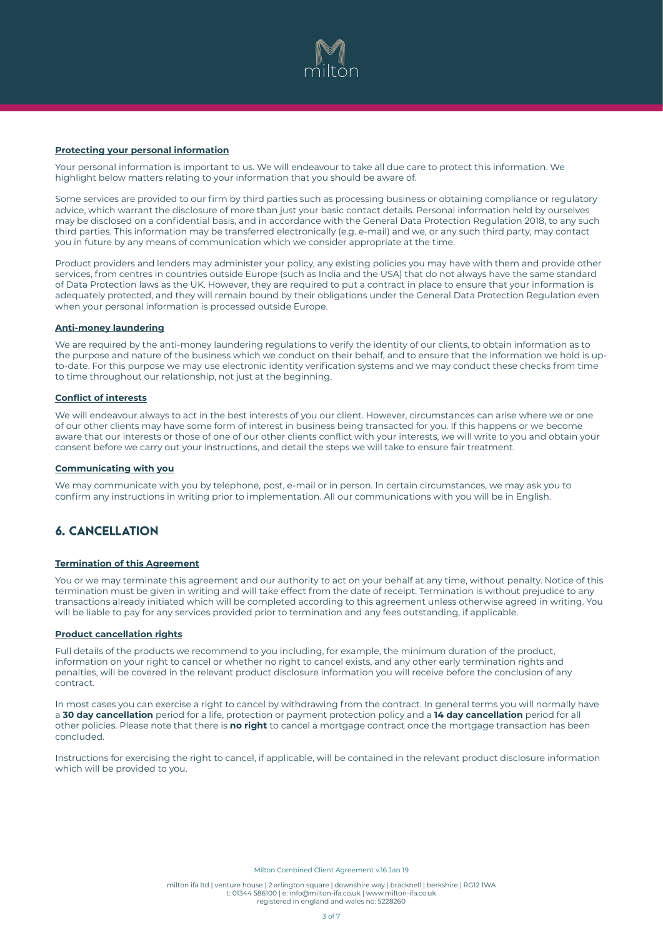

#### **Protecting your personal information**

Your personal information is important to us. We will endeavour to take all due care to protect this information. We highlight below matters relating to your information that you should be aware of.

Some services are provided to our firm by third parties such as processing business or obtaining compliance or regulatory advice, which warrant the disclosure of more than just your basic contact details. Personal information held by ourselves may be disclosed on a confidential basis, and in accordance with the General Data Protection Regulation 2018, to any such third parties. This information may be transferred electronically (e.g. e-mail) and we, or any such third party, may contact you in future by any means of communication which we consider appropriate at the time.

Product providers and lenders may administer your policy, any existing policies you may have with them and provide other services, from centres in countries outside Europe (such as India and the USA) that do not always have the same standard of Data Protection laws as the UK. However, they are required to put a contract in place to ensure that your information is adequately protected, and they will remain bound by their obligations under the General Data Protection Regulation even when your personal information is processed outside Europe.

#### **Anti-money laundering**

We are required by the anti-money laundering regulations to verify the identity of our clients, to obtain information as to the purpose and nature of the business which we conduct on their behalf, and to ensure that the information we hold is upto-date. For this purpose we may use electronic identity verification systems and we may conduct these checks from time to time throughout our relationship, not just at the beginning.

### **Conflict of interests**

We will endeavour always to act in the best interests of you our client. However, circumstances can arise where we or one of our other clients may have some form of interest in business being transacted for you. If this happens or we become aware that our interests or those of one of our other clients conflict with your interests, we will write to you and obtain your consent before we carry out your instructions, and detail the steps we will take to ensure fair treatment.

### **Communicating with you**

We may communicate with you by telephone, post, e-mail or in person. In certain circumstances, we may ask you to confirm any instructions in writing prior to implementation. All our communications with you will be in English.

# 6. CANCELLATION

#### **Termination of this Agreement**

You or we may terminate this agreement and our authority to act on your behalf at any time, without penalty. Notice of this termination must be given in writing and will take effect from the date of receipt. Termination is without prejudice to any transactions already initiated which will be completed according to this agreement unless otherwise agreed in writing. You will be liable to pay for any services provided prior to termination and any fees outstanding, if applicable.

#### **Product cancellation rights**

Full details of the products we recommend to you including, for example, the minimum duration of the product, information on your right to cancel or whether no right to cancel exists, and any other early termination rights and penalties, will be covered in the relevant product disclosure information you will receive before the conclusion of any contract.

In most cases you can exercise a right to cancel by withdrawing from the contract. In general terms you will normally have a **30 day cancellation** period for a life, protection or payment protection policy and a **14 day cancellation** period for all other policies. Please note that there is **no right** to cancel a mortgage contract once the mortgage transaction has been concluded.

Instructions for exercising the right to cancel, if applicable, will be contained in the relevant product disclosure information which will be provided to you.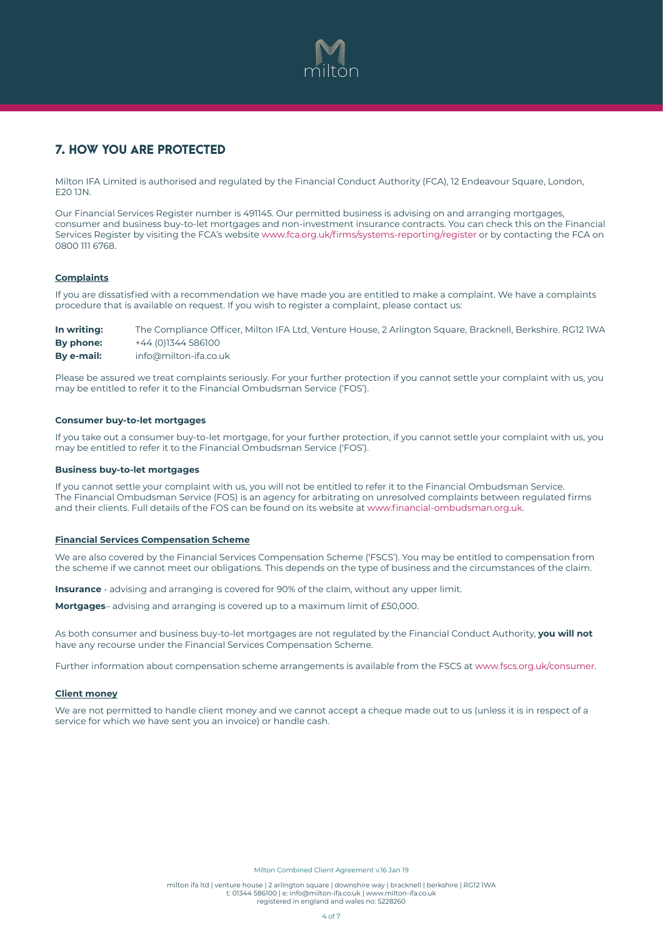

# 7. HOW YOU ARE PROTECTED

Milton IFA Limited is authorised and regulated by the Financial Conduct Authority (FCA), 12 Endeavour Square, London, E20 1JN.

Our Financial Services Register number is 491145. Our permitted business is advising on and arranging mortgages, consumer and business buy-to-let mortgages and non-investment insurance contracts. You can check this on the Financial Services Register by visiting the FCA's website www.fca.org.uk/firms/systems-reporting/register or by contacting the FCA on 0800 111 6768.

### **Complaints**

If you are dissatisfied with a recommendation we have made you are entitled to make a complaint. We have a complaints procedure that is available on request. If you wish to register a complaint, please contact us:

**In writing:** The Compliance Officer, Milton IFA Ltd, Venture House, 2 Arlington Square, Bracknell, Berkshire. RG12 1WA **By phone:** +44 (0)1344 586100 **By e-mail:** [info@milton-ifa.co.uk](mailto:info@milton-ifa.co.uk)

Please be assured we treat complaints seriously. For your further protection if you cannot settle your complaint with us, you may be entitled to refer it to the Financial Ombudsman Service ('FOS').

### **Consumer buy-to-let mortgages**

If you take out a consumer buy-to-let mortgage, for your further protection, if you cannot settle your complaint with us, you may be entitled to refer it to the Financial Ombudsman Service ('FOS').

#### **Business buy-to-let mortgages**

If you cannot settle your complaint with us, you will not be entitled to refer it to the Financial Ombudsman Service. The Financial Ombudsman Service (FOS) is an agency for arbitrating on unresolved complaints between regulated firms and their clients. Full details of the FOS can be found on its website at www.financial-ombudsman.org.uk.

#### **Financial Services Compensation Scheme**

We are also covered by the Financial Services Compensation Scheme ('FSCS'). You may be entitled to compensation from the scheme if we cannot meet our obligations. This depends on the type of business and the circumstances of the claim.

**Insurance** - advising and arranging is covered for 90% of the claim, without any upper limit.

**Mortgages**– advising and arranging is covered up to a maximum limit of £50,000.

As both consumer and business buy-to-let mortgages are not regulated by the Financial Conduct Authority, **you will not**  have any recourse under the Financial Services Compensation Scheme.

Further information about compensation scheme arrangements is available from the FSCS at www.fscs.org.uk/consumer.

#### **Client money**

We are not permitted to handle client money and we cannot accept a cheque made out to us (unless it is in respect of a service for which we have sent you an invoice) or handle cash.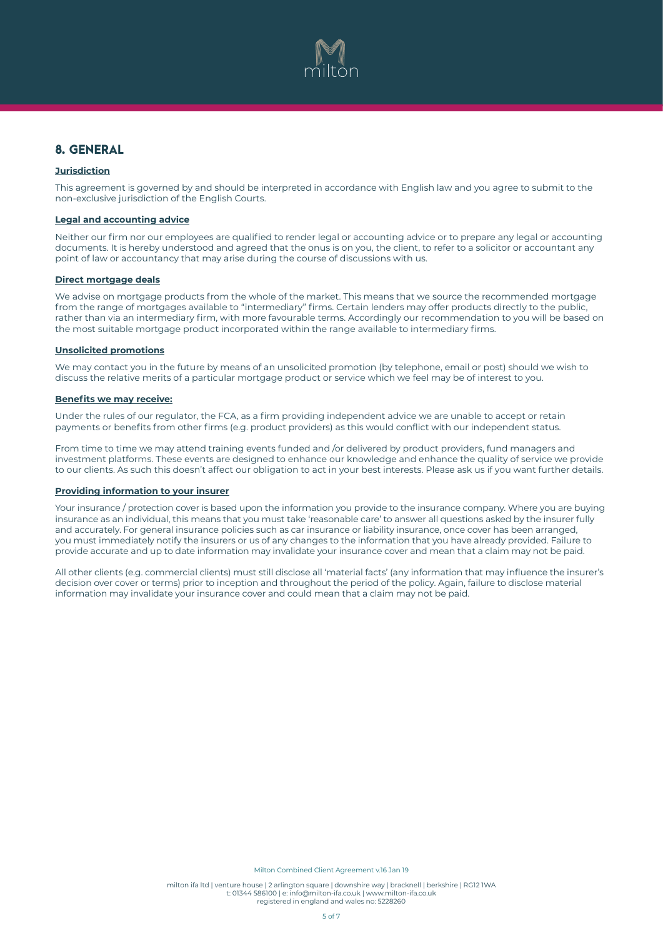

# 8. GENERAL

### **Jurisdiction**

This agreement is governed by and should be interpreted in accordance with English law and you agree to submit to the non-exclusive jurisdiction of the English Courts.

### **Legal and accounting advice**

Neither our firm nor our employees are qualified to render legal or accounting advice or to prepare any legal or accounting documents. It is hereby understood and agreed that the onus is on you, the client, to refer to a solicitor or accountant any point of law or accountancy that may arise during the course of discussions with us.

#### **Direct mortgage deals**

We advise on mortgage products from the whole of the market. This means that we source the recommended mortgage from the range of mortgages available to "intermediary" firms. Certain lenders may offer products directly to the public, rather than via an intermediary firm, with more favourable terms. Accordingly our recommendation to you will be based on the most suitable mortgage product incorporated within the range available to intermediary firms.

#### **Unsolicited promotions**

We may contact you in the future by means of an unsolicited promotion (by telephone, email or post) should we wish to discuss the relative merits of a particular mortgage product or service which we feel may be of interest to you.

#### **Benefits we may receive:**

Under the rules of our regulator, the FCA, as a firm providing independent advice we are unable to accept or retain payments or benefits from other firms (e.g. product providers) as this would conflict with our independent status.

From time to time we may attend training events funded and /or delivered by product providers, fund managers and investment platforms. These events are designed to enhance our knowledge and enhance the quality of service we provide to our clients. As such this doesn't affect our obligation to act in your best interests. Please ask us if you want further details.

#### **Providing information to your insurer**

Your insurance / protection cover is based upon the information you provide to the insurance company. Where you are buying insurance as an individual, this means that you must take 'reasonable care' to answer all questions asked by the insurer fully and accurately. For general insurance policies such as car insurance or liability insurance, once cover has been arranged, you must immediately notify the insurers or us of any changes to the information that you have already provided. Failure to provide accurate and up to date information may invalidate your insurance cover and mean that a claim may not be paid.

All other clients (e.g. commercial clients) must still disclose all 'material facts' (any information that may influence the insurer's decision over cover or terms) prior to inception and throughout the period of the policy. Again, failure to disclose material information may invalidate your insurance cover and could mean that a claim may not be paid.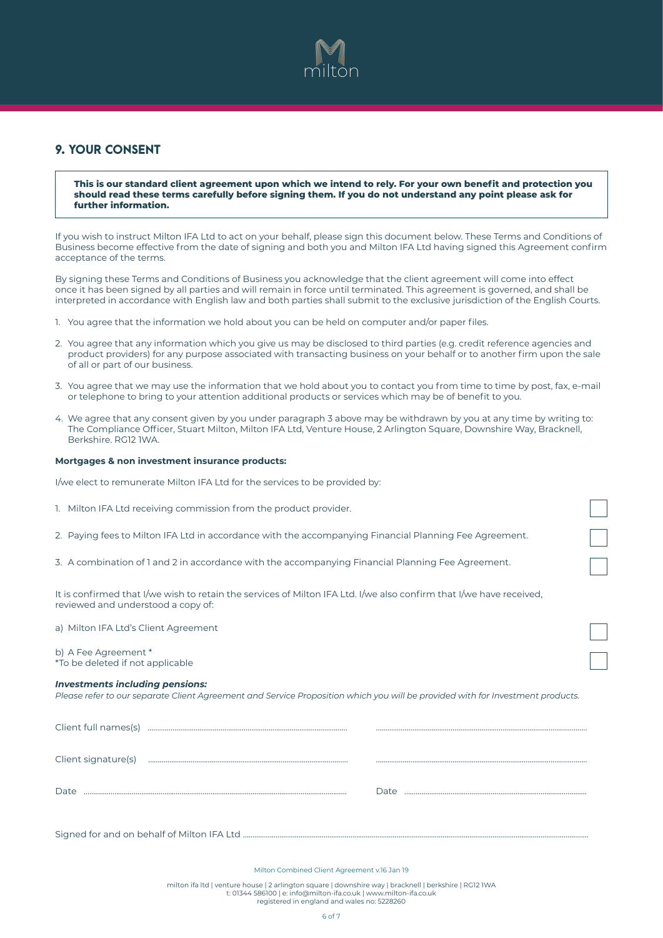

# 9. YOUR CONSENT

**This is our standard client agreement upon which we intend to rely. For your own benefit and protection you should read these terms carefully before signing them. If you do not understand any point please ask for further information.**

If you wish to instruct Milton IFA Ltd to act on your behalf, please sign this document below. These Terms and Conditions of Business become effective from the date of signing and both you and Milton IFA Ltd having signed this Agreement confirm acceptance of the terms.

By signing these Terms and Conditions of Business you acknowledge that the client agreement will come into effect once it has been signed by all parties and will remain in force until terminated. This agreement is governed, and shall be interpreted in accordance with English law and both parties shall submit to the exclusive jurisdiction of the English Courts.

- 1. You agree that the information we hold about you can be held on computer and/or paper files.
- 2. You agree that any information which you give us may be disclosed to third parties (e.g. credit reference agencies and product providers) for any purpose associated with transacting business on your behalf or to another firm upon the sale of all or part of our business.
- 3. You agree that we may use the information that we hold about you to contact you from time to time by post, fax, e-mail or telephone to bring to your attention additional products or services which may be of benefit to you.
- 4. We agree that any consent given by you under paragraph 3 above may be withdrawn by you at any time by writing to: The Compliance Officer, Stuart Milton, Milton IFA Ltd, Venture House, 2 Arlington Square, Downshire Way, Bracknell, Berkshire. RG12 1WA.

#### **Mortgages & non investment insurance products:**

I/we elect to remunerate Milton IFA Ltd for the services to be provided by:

| 1. Milton IFA Ltd receiving commission from the product provider.                                                                                         |  |
|-----------------------------------------------------------------------------------------------------------------------------------------------------------|--|
| 2. Paying fees to Milton IFA Ltd in accordance with the accompanying Financial Planning Fee Agreement.                                                    |  |
| 3. A combination of 1 and 2 in accordance with the accompanying Financial Planning Fee Agreement.                                                         |  |
| It is confirmed that I/we wish to retain the services of Milton IFA Ltd. I/we also confirm that I/we have received,<br>reviewed and understood a copy of: |  |
| a) Milton IFA Ltd's Client Agreement                                                                                                                      |  |

b) A Fee Agreement \* \*To be deleted if not applicable

#### *Investments including pensions:*

*Please refer to our separate Client Agreement and Service Proposition which you will be provided with for Investment products.*

| Client full names(s) |      |
|----------------------|------|
| Client signature(s)  |      |
| Date                 | Date |
|                      |      |

Signed for and on behalf of Milton IFA Ltd ........

Milton Combined Client Agreement v.16 Jan 19

milton ifa ltd | venture house | 2 arlington square | downshire way | bracknell | berkshire | RG12 1WA t: 01344 586100 | e: [info@milton-ifa.co.uk](mailto:info@milton-ifa.co.uk) | [www.milton-ifa.co.uk](http://www.milton-ifa.co.uk) registered in england and wales no: 5228260